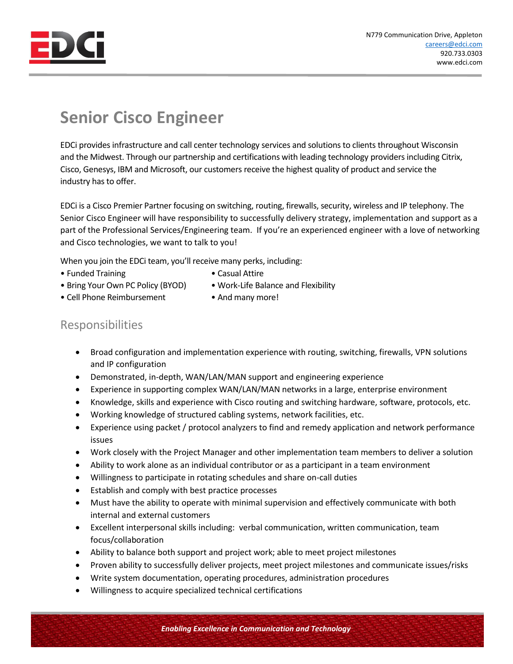

## **Senior Cisco Engineer**

EDCi provides infrastructure and call center technology services and solutions to clients throughout Wisconsin and the Midwest. Through our partnership and certifications with leading technology providers including Citrix, Cisco, Genesys, IBM and Microsoft, our customers receive the highest quality of product and service the industry has to offer.

EDCi is a Cisco Premier Partner focusing on switching, routing, firewalls, security, wireless and IP telephony. The Senior Cisco Engineer will have responsibility to successfully delivery strategy, implementation and support as a part of the Professional Services/Engineering team. If you're an experienced engineer with a love of networking and Cisco technologies, we want to talk to you!

When you join the EDCi team, you'll receive many perks, including:

- Funded Training  **Casual Attire** 
	-
- Bring Your Own PC Policy (BYOD) Work-Life Balance and Flexibility
- Cell Phone Reimbursement And many more!

## Responsibilities

- Broad configuration and implementation experience with routing, switching, firewalls, VPN solutions and IP configuration
- Demonstrated, in-depth, WAN/LAN/MAN support and engineering experience
- Experience in supporting complex WAN/LAN/MAN networks in a large, enterprise environment
- Knowledge, skills and experience with Cisco routing and switching hardware, software, protocols, etc.
- Working knowledge of structured cabling systems, network facilities, etc.
- Experience using packet / protocol analyzers to find and remedy application and network performance issues
- Work closely with the Project Manager and other implementation team members to deliver a solution
- Ability to work alone as an individual contributor or as a participant in a team environment
- Willingness to participate in rotating schedules and share on-call duties
- Establish and comply with best practice processes
- Must have the ability to operate with minimal supervision and effectively communicate with both internal and external customers
- Excellent interpersonal skills including: verbal communication, written communication, team focus/collaboration
- Ability to balance both support and project work; able to meet project milestones
- Proven ability to successfully deliver projects, meet project milestones and communicate issues/risks
- Write system documentation, operating procedures, administration procedures
- Willingness to acquire specialized technical certifications